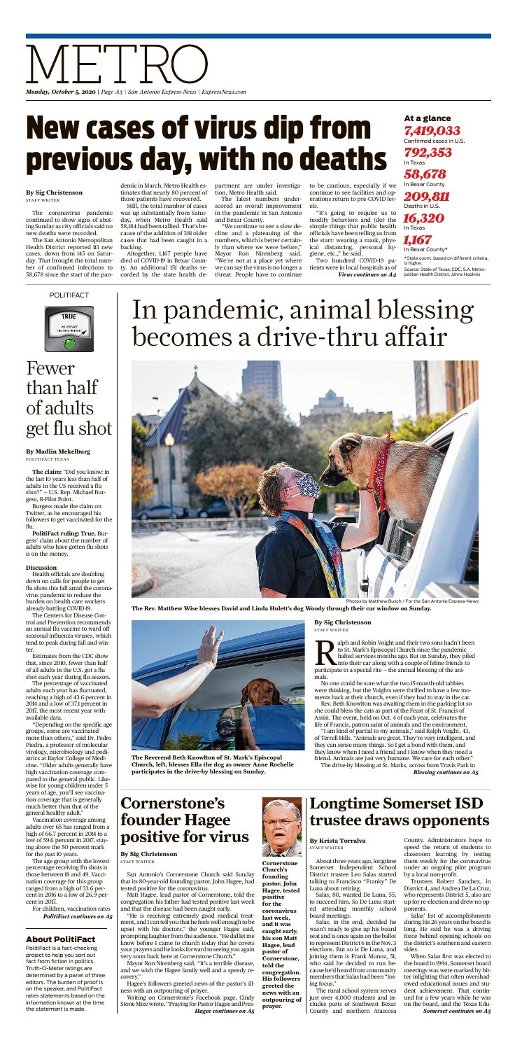At a glance

*7,419,033* Confirmed cases in U.S. *792,353* In Texas *58,678* In Bexar County *209,811* Deaths in U.S. *16,320* In Texas

*1,167* In Bexar County\* \*State count, based on different criteria, is higher. Source: State of Texas, CDC, S.A. Metro-

alph and Robin Voight and their two sons hadn't to St. Mark's Episcopal Church since the pandemi-<br>halted services months ago. But on Sunday, they proticipate in a special rite – the annual blessing of the anialph and Robin Voight and their two sons hadn't been to St. Mark's Episcopal Church since the pandemic halted services months ago. But on Sunday, they piled into their car along with a couple of feline friends to mals.

politan Health District, Johns Hopkins

No one could be sure what the two 15-month-old tabbies were thinking, but the Voights were thrilled to have a few moments back at their church, even if they had to stay in the car.

Rev. Beth Knowlton was awaiting them in the parking lot so she could bless the cats as part of the Feast of St. Francis of Assisi. The event, held on Oct. 4 of each year, celebrates the life of Francis, patron saint of animals and the environment.

About three years ago, longtime Somerset Independent School District trustee Leo Salas started talking to Francisco "Franky" De Luna about retiring.

"I am kind of partial to my animals," said Ralph Voight, 43, of Terrell Hills. "Animals are great. They're very intelligent, and they can sense many things. So I get a bond with them, and they know when I need a friend and I know when they need a friend. Animals are just very humane. We care for each other."

# In pandemic, animal blessing becomes a drive-thru affair



**The Rev. Matthew Wise blesses David and Linda Hulett's dog Woody through their car window on Sunday.**

The drive-by blessing at St. Marks, across from Travis Park in *Blessing continues on A5*



**The Reverend Beth Knowlton of St. Mark's Episcopal Church, left, blesses Ella the dog as owner Anne Rochelle participates in the drive-by blessing on Sunday.**

#### **By Sig Christenson** STAFF WRITER

Salas, 80, wanted De Luna, 55, to succeed him. So De Luna started attending monthly school board meetings.

Salas, in the end, decided he wasn't ready to give up his board seat and is once again on the ballot to represent District 6 in the Nov. 3 elections. But so is De Luna, and joining them is Frank Munoz, 51, who said he decided to run because he'd heard from community members that Salas had been "losing focus."

The rural school system serves just over 4,000 students and includes parts of Southwest Bexar County and northern Atascosa

County. Administrators hope to speed the return of students to classroom learning by testing them weekly for the coronavirus under an ongoing pilot program by a local non-profit.

## Fewer than half of adults get flu shot

Trustees Robert Sanchez, in District 4, and Andrea De La Cruz, who represents District 5, also are up for re-election and drew no opponents.

Salas' list of accomplishments during his 26 years on the board is long. He said he was a driving force behind opening schools on the district's southern and eastern sides.

When Salas first was elected to the board in1994, Somerset board meetings was were marked by bitter infighting that often overshadowed educational issues and student achievement. That continued for a few years while he was on the board, and the Texas Edu-

## **Longtime Somerset ISD trustee draws opponents**

#### **By Krista Torralva** STAFF WRITER

*Somerset continues on A5*

**The claim:** "Did you know: in the last 10 years less than half of adults in the US received a flu shot?" — U.S. Rep. Michael Burgess, R-Pilot Point.

Burgess made the claim on Twitter, as he encouraged his followers to get vaccinated for the flu.

**PolitiFact ruling: True.** Burgess' claim about the number of adults who have gotten flu shots is on the money.

#### **Discussion**

Health officials are doubling down on calls for people to get

flu shots this fall amid the coronavirus pandemic to reduce the burden on health care workers already battling COVID-19.

The Centers for Disease Control and Prevention recommends an annual flu vaccine to ward off seasonal influenza viruses, which tend to peak during fall and winter.

Estimates from the CDC show that, since 2010, fewer than half of all adults in the U.S. got a flu shot each year during flu season.

The percentage of vaccinated adults each year has fluctuated, reaching a high of 43.6 percent in 2014 and a low of 37.1 percent in 2017, the most recent year with available data.

"Depending on the specific age groups, some are vaccinated more than others," said Dr. Pedro Piedra, a professor of molecular virology, microbiology and pediatrics at Baylor College of Medicine. "Older adults generally have high vaccination coverage compared to the general public. Likewise for young children under 5 years of age, you'll see vaccination coverage that is generally much better than that of the general healthy adult."

Vaccination coverage among adults over 65 has ranged from a high of 66.7 percent in 2014 to a low of 59.6 percent in 2017, staying above the 50 percent mark for the past 10 years.

The age group with the lowest percentage receiving flu shots is those between 18 and 49. Vaccination coverage for this group ranged from a high of 33.6 percent in 2016 to a low of 26.9 percent in 2017.

POLITIFACT



**By Madlin Mekelburg** POLITIFACT TEXAS

#### About PolitiFact

For children, vaccination rates *PolitiFact continues on A5*

PolitiFact is a fact-checking project to help you sort out fact from fiction in politics. Truth-O-Meter ratings are determined by a panel of three editors. The burden of proof is on the speaker, and PolitiFact rates statements based on the information known at the time the statement is made.

San Antonio's Cornerstone Church said Sunday that its 80-year-old founding pastor, John Hagee, had tested positive for the coronavirus.

Matt Hagee, lead pastor of Cornerstone, told the congregation his father had tested positive last week and that the disease had been caught early.

"He is receiving extremely good medical treatment, and I can tell you that he feels well enough to be upset with his doctors," the younger Hagee said, promptinglaughter fromthe audience. "Hedidletme know before I came to church today that he covets your prayers and he looks forward to seeing you again very soon back here at Cornerstone Church."

Mayor Ron Nirenberg said, "It's a terrible disease, and we wish the Hagee family well and a speedy recovery."

Hagee's followers greeted news of the pastor's illness with an outpouring of prayer.

**Cornerstone Church's founding pastor, John Hagee, tested positive for the coronavirus last week,**

Writing on Cornerstone's Facebook page, Cindy Stone Mize wrote, "Praying for Pastor Hagee and Pres-*Hagee continues on A5*



**and it was caught early, his son Matt Hagee, lead pastor of Cornerstone, told the congregation. His followers**

**greeted the news with an outpouring of prayer.**

## **Cornerstone's founder Hagee positive for virus**

**By Sig Christenson** STAFF WRITER

The coronavirus pandemic continued to show signs of abating Sunday as city officials said no new deaths were recorded.

The San Antonio Metropolitan Health District reported 113 new cases, down from 145 on Saturday. That brought the total number of confirmed infections to 58,678 since the start of the pan-

demic in March. Metro Health estimates that nearly 80 percent of those patients have recovered.

Still, the total number of cases was up substantially from Saturday, when Metro Health said 58,184 had been tallied. That's because of the addition of 381 older cases that had been caught in a backlog.

Altogether, 1,167 people have died of COVID-19 in Bexar County. An additional 151 deaths recorded by the state health department are under investigation, Metro Health said.

The latest numbers underscored an overall improvement in the pandemic in San Antonio and Bexar County.

"We continue to see a slow decline and a plateauing of the numbers, which is better certainly than where we were before," Mayor Ron Nirenberg said. "We're not at a place yet where we can say the virus is no longer a threat. People have to continue

to be cautious, especially if we continue to see facilities and operations return to pre-COVID levels.

"It's going to require us to modify behaviors and (do) the simple things that public health officials have been telling us from the start: wearing a mask, physical distancing, personal hygiene, etc.," he said.

Two hundred COVID-19 patients were in local hospitals as of *Virus continues on A4*

# New cases of virus dip from previous day, with no deaths

#### **By Sig Christenson** STAFF WRITER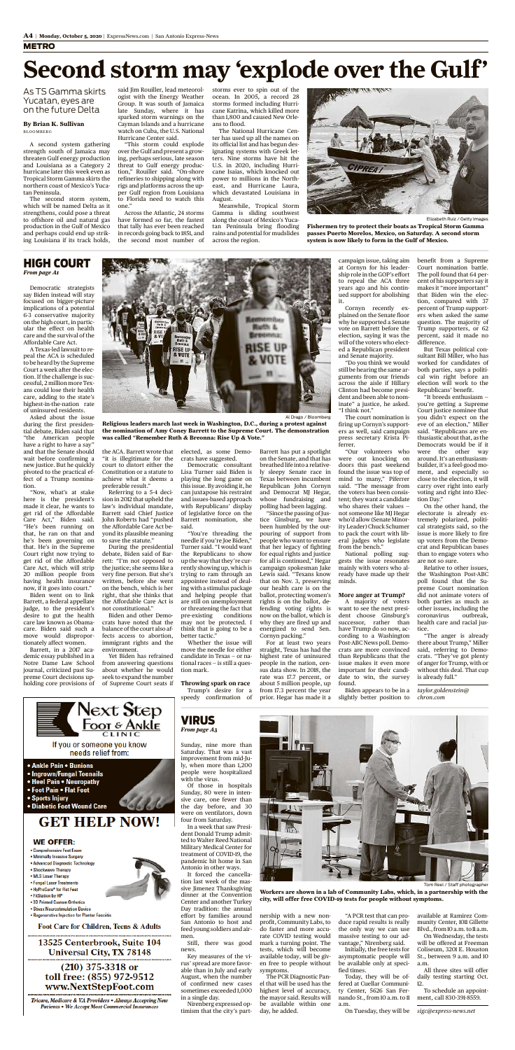#### METRO

with the virus.

four from Saturday.

Antonio in other ways.

sive Jimenez Thanksgiving dinner at the Convention Center and another Turkey Day tradition: the annual effort by families around San Antonio to host and feed young soldiers andair-

men.

Still, there was good

news.

Key measures of the virus' spread are more favorable than in July and early August, when the number of confirmed new cases sometimes exceeded 1,000

in a single day.

Nirenberg expressed optimism that the city's part-



Tom Reel / Staff photographer

nership with a new nonprofit, Community Labs, to do faster and more accurate COVID testing would mark a turning point. The tests, which will become available today, will be given free to people without symptoms.

The PCR Diagnostic Panel that will be used has the highest level of accuracy, the mayor said. Results will be available within one day, he added.

"A PCR test that can produce rapid results is really the only way we can use massive testing to our advantage," Nirenberg said.

Initially, the free tests for asymptomatic people will be available only at specified times.

Today, they will be offered at Cuellar Community Center, 5626 San Fernando St., from10 a.m. to 11 a.m.

On Tuesday, they will be

available at Ramirez Community Center, 1011 Gillette Blvd., from10a.m.to11a.m. On Wednesday, the tests

will be offered at Freeman Coliseum, 3201 E. Houston St., between 9 a.m. and 10 a.m.

All three sites will offer daily testing starting Oct. 12.

To schedule an appointment, call 830-391-8559.

*sigc@express-news.net*



VIRUS *From page A3*

> **Workers are shown in a lab of Community Labs, which, in a partnership with the city, will offer free COVID-19 tests for people without symptoms.**

Democratic strategists say Biden instead will stay focused on bigger-picture implications of a potential 6-3 conservative majority on the high court, in particular the effect on health care and the survival of the Affordable Care Act.

A Texas-led lawsuit to repeal the ACA is scheduled to be heard by the Supreme Court a week after the election. If the challenge is successful, 2 million more Texans could lose their health care, adding to the state's highest-in-the-nation rate of uninsured residents.

Asked about the issue during the first presidential debate, Biden said that "the American people have a right to have a say" and that the Senate should wait before confirming a new justice. But he quickly pivoted to the practical effect of a Trump nomination.

"Now, what's at stake here is the president's made it clear, he wants to get rid of the Affordable Care Act," Biden said. "He's been running on that, he ran on that and he's been governing on that. He's in the Supreme Court right now trying to get rid of the Affordable Care Act, which will strip 20 million people from having health insurance

now, if it goes into court."

Biden went on to link Barrett, a federal appellate judge, to the president's desire to gut the health care law known as Obamacare. Biden said such a move would disproportionately affect women.

Barrett, in a 2017 academic essay published in a Notre Dame Law School journal, criticized past Supreme Court decisions upholding core provisions of

the ACA. Barrett wrote that "it is illegitimate for the court to distort either the Constitution or a statute to achieve what it deems a preferable result."

Referring to a 5-4 decision in 2012 that upheld the law's individual mandate, Barrett said Chief Justice John Roberts had "pushed the Affordable Care Act beyond its plausible meaning to save the statute."

During the presidential debate, Biden said of Barrett: "I'm not opposed to the justice; she seems like a very fine person. But she's written, before she went

on the bench, which is her right, that she thinks that the Affordable Care Act is not constitutional."

Biden and other Democrats have noted that the balance of the court also affects access to abortion, immigrant rights and the environment.

Yet Biden has refrained from answering questions about whether he would seek to expand the number of Supreme Court seats if

elected, as some Democrats have suggested.

Democratic consultant Lisa Turner said Biden is playing the long game on this issue. By avoiding it, he can juxtapose his restraint and issues-based approach with Republicans' display of legislative force on the Barrett nomination, she said.

"You're threading the needle if you're Joe Biden," Turner said. "I would want the Republicans to show up the way that they're currently showing up, which is trying to ram through an appointee instead of dealingwith a stimulus package and helping people that are still on unemployment or threatening the fact that pre-existing conditions may not be protected. I think that is going to be a better tactic." Whether the issue will move the needle for either candidate in Texas — or national races — is still a question mark.

**Throwing spark on race**

Trump's desire for a speedy confirmation of

Barrett has put a spotlight on the Senate, and that has breathed life into a relatively sleepy Senate race in Texas between incumbent Republican John Cornyn and Democrat MJ Hegar, whose fundraising and polling had been lagging.

"Since the passing of Justice Ginsburg, we have been humbled by the outpouring of support from people who want to ensure that her legacy of fighting for equal rights and justice for all is continued," Hegar campaign spokesman Jake Lewis said. "Texans know that on Nov. 3, preserving

our health care is on the ballot, protecting women's rights is on the ballot, defending voting rights is now on the ballot, which is why they are fired up and energized to send Sen. Cornyn packing."

For at least two years straight, Texas has had the highest rate of uninsured people in the nation, census data show. In 2018, the rate was 17.7 percent, or about 5 million people, up from 17.3 percent the year prior. Hegar has made it a

campaign issue, taking aim at Cornyn for his leadership role in the GOP's effort to repeal the ACA three years ago and his continued support for abolishing it.

Cornyn recently explained on the Senate floor why he supported a Senate vote on Barrett before the election, saying it was the will of the voters who elected a Republican president and Senate majority.

"Do you think we would still be hearing the same arguments from our friends across the aisle if Hillary Clinton had become president and been able to nominate" a justice, he asked. "I think not."

The court nomination is firing up Cornyn's supporters as well, said campaign press secretary Krista Piferrer.

"Our volunteers who were out knocking on doors this past weekend found the issue was top of mind to many," Piferrer said. "The message from the voters has been consistent; they want a candidate who shares their values not someone like MJ Hegar who'd allow (Senate Minority Leader) Chuck Schumer to pack the court with liberal judges who legislate from the bench."

National polling suggests the issue resonates mainly with voters who already have made up their minds.

#### **More anger at Trump?**

A majority of voters want to see the next president choose Ginsburg's successor, rather than have Trump do so now, according to a Washington Post-ABC News poll. Democrats are more convinced than Republicans that the issue makes it even more important for their candidate to win, the survey found.

Biden appears to be in a slightly better position to

benefit from a Supreme Court nomination battle. The poll found that 64 percent of his supporters say it makes it "more important" that Biden win the election, compared with 37 percent of Trump supporters when asked the same question. The majority of Trump supporters, or 62 percent, said it made no difference.

But Texas political consultant Bill Miller, who has worked for candidates of both parties, says a political win right before an election will work to the Republicans' benefit.

"It breeds enthusiasm you're getting a Supreme Court justice nominee that you didn't expect on the eve of an election," Miller said. "Republicans are enthusiastic about that, as the Democrats would be if it were the other way around. It's an enthusiasmbuilder, it's a feel-good moment, and especially so close to the election, it will carry over right into early voting and right into Election Day."

On the other hand, the electorate is already extremely polarized, political strategists said, so the issue is more likely to fire up voters from the Democrat and Republican bases than to engage voters who are not so sure.

Relative to other issues, the Washington Post-ABC poll found that the Su-

preme Court nomination did not animate voters of both parties as much as other issues, including the coronavirus outbreak, health care and racial justice.

"The anger is already there about Trump," Miller said, referring to Democrats. "They've got plenty of anger for Trump, with or without this deal. That cup is already full."

*taylor.goldenstein@ chron.com*



- 
- Sports Injury
- Diabetic Foot Wound Care

### **GET HELP NOW!**

#### **WE OFFER:**

- Comprehensive Foot Exam
- . Minimally Invasive Surgery
- Advanced Diagnostic Technology
- Shockwave Therapy • MLS Laser Therapy
- Fungal Laser Treatments
- . HyProCure® for Flat Feet
- FitStation by HP
- .3D Printed Custom Orthotics
- · Stivax Neurostimulation Device
- . Regenerative Injection for Plantar Fasciitis

Foot Care for Children, Teens & Adults

#### 13525 Centerbrook, Suite 104 **Universal City, TX 78148**

#### $(210)$  375-3318 or toll free: (855) 972-9512 www.NextStepFoot.com

Tricare, Medicare & VA Providers • Always Accepting New **Patients • We Accept Most Commercial Insurances** 

#### HIGH COURT *From page A1*



Al Drago / Bloomberg

**Religious leaders march last week in Washington, D.C., during a protest against the nomination of Amy Coney Barrett to the Supreme Court. The demonstration was called "Remember Ruth & Breonna: Rise Up & Vote."**

A second system gathering strength south of Jamaica may threaten Gulf energy production and Louisiana as a Category 2 hurricane later this week even as Tropical Storm Gamma skirts the northern coast of Mexico's Yucatan Peninsula.

The second storm system, which will be named Delta as it strengthens, could pose a threat to offshore oil and natural gas production in the Gulf of Mexico and perhaps could end up striking Louisiana if its track holds,

said Jim Rouiller, lead meteorologist with the Energy Weather Group. It was south of Jamaica late Sunday, where it has sparked storm warnings on the Cayman Islands and a hurricane watch on Cuba, the U.S. National Hurricane Center said.

"This storm could explode over theGulf and present a growing, perhaps serious, late season threat to Gulf energy production," Rouiller said. "On-shore refineries to shipping along with rigs and platforms across the upper Gulf region from Louisiana to Florida need to watch this one."

Across the Atlantic, 24 storms have formed so far, the fastest that tally has ever been reached in records going back to 1851, and the second most number of

storms ever to spin out of the ocean. In 2005, a record 28 storms formed including Hurricane Katrina, which killed more than 1,800 and caused New Orleans to flood.

The National Hurricane Center has used up all the names on its official list and has begun designating systems with Greek letters. Nine storms have hit the U.S. in 2020, including Hurricane Isaias, which knocked out power to millions in the Northeast, and Hurricane Laura, which devastated Louisiana in August.

Meanwhile, Tropical Storm Gamma is sliding southwest along the coast of Mexico's Yucatan Peninsula bring flooding rains and potential for mudslides across the region.

# **Second storm may 'explode over the Gulf'**

As TS Gamma skirts Yucatan, eyes are on the future Delta

#### **By Brian K. Sullivan** BLOOMBERG



Elizabeth Ruiz / Getty Images **Fishermen try to protect their boats as Tropical Storm Gamma**

**passes Puerto Morelos, Mexico, on Saturday. A second storm system is now likely to form in the Gulf of Mexico.**